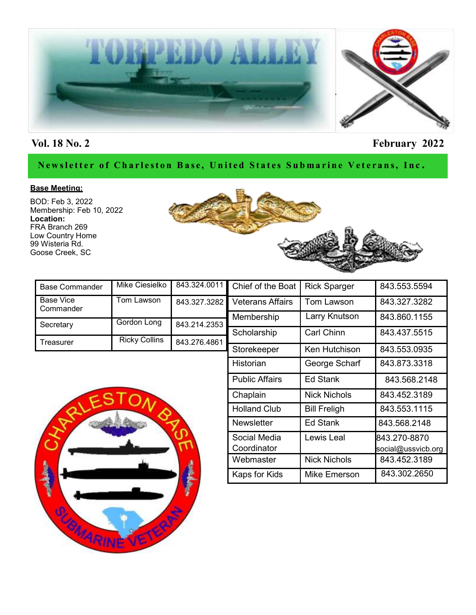

# **Vol. 18 No. 2 February 2022**

#### Newsletter of Charleston Base, United States Submarine Veterans, Inc.

#### **Base Meeting:**

BOD: Feb 3, 2022 Membership: Feb 10, 2022 **Location:** FRA Branch 269 Low Country Home 99 Wisteria Rd. Goose Creek, SC



| <b>Base Commander</b>         | Mike Ciesielko       |              | 843.324.0011 Chief of the Boat | <b>Rick Sparger</b> | 843.553.5594 |
|-------------------------------|----------------------|--------------|--------------------------------|---------------------|--------------|
| <b>Base Vice</b><br>Commander | Tom Lawson           | 843.327.3282 | <b>Veterans Affairs</b>        | Tom Lawson          | 843.327.3282 |
|                               |                      |              | Membership                     | Larry Knutson       | 843.860.1155 |
| Secretary                     | Gordon Long          | 843.214.2353 |                                |                     |              |
|                               |                      |              | Scholarship                    | Carl Chinn          | 843.437.5515 |
| Treasurer                     | <b>Ricky Collins</b> | 843.276.4861 |                                |                     |              |
|                               |                      |              | Storekeeper                    | Ken Hutchison       | 843.553.0935 |



| Veterans Affairs            | Tom Lawson          | 843.327.3282                       |  |
|-----------------------------|---------------------|------------------------------------|--|
| Membership                  | Larry Knutson       | 843.860.1155                       |  |
| Scholarship                 | <b>Carl Chinn</b>   | 843.437.5515                       |  |
| Storekeeper                 | Ken Hutchison       | 843.553.0935                       |  |
| Historian                   | George Scharf       | 843.873.3318                       |  |
| <b>Public Affairs</b>       | Ed Stank            | 843.568.2148                       |  |
| Chaplain                    | <b>Nick Nichols</b> | 843.452.3189                       |  |
| <b>Holland Club</b>         | <b>Bill Freligh</b> | 843.553.1115                       |  |
| <b>Newsletter</b>           | Ed Stank            | 843.568.2148                       |  |
| Social Media<br>Coordinator | Lewis Leal          | 843.270-8870<br>social@ussvicb.org |  |
| Webmaster                   | <b>Nick Nichols</b> | 843.452.3189                       |  |
| Kaps for Kids               | <b>Mike Emerson</b> | 843.302.2650                       |  |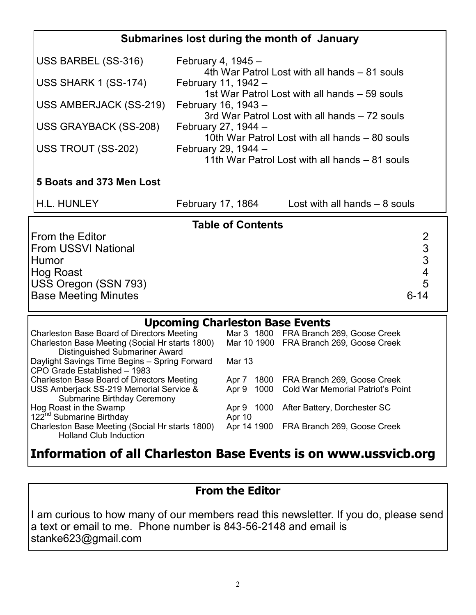# **Submarines lost during the month of January**

| USS BARBEL (SS-316)                                                                                                        | February 4, 1945 -<br>4th War Patrol Lost with all hands – 81 souls   |
|----------------------------------------------------------------------------------------------------------------------------|-----------------------------------------------------------------------|
| USS SHARK 1 (SS-174)                                                                                                       | February 11, 1942 -<br>1st War Patrol Lost with all hands – 59 souls  |
| USS AMBERJACK (SS-219)                                                                                                     | February 16, 1943 -<br>3rd War Patrol Lost with all hands – 72 souls  |
| USS GRAYBACK (SS-208)                                                                                                      | February 27, 1944 -<br>10th War Patrol Lost with all hands – 80 souls |
| USS TROUT (SS-202)                                                                                                         | February 29, 1944 -<br>11th War Patrol Lost with all hands – 81 souls |
| 5 Boats and 373 Men Lost                                                                                                   |                                                                       |
| <b>H.L. HUNLEY</b>                                                                                                         | Lost with all hands $-8$ souls<br>February 17, 1864                   |
|                                                                                                                            | <b>Table of Contents</b>                                              |
| From the Editor<br><b>From USSVI National</b><br>Humor<br>Hog Roast<br>USS Oregon (SSN 793)<br><b>Base Meeting Minutes</b> | 2<br>3<br>3<br>$\overline{\mathcal{A}}$<br>5<br>$6 - 14$              |

# **Upcoming Charleston Base Events**

| <b>Charleston Base Board of Directors Meeting</b> |        | Mar 3 1800 FRA Branch 269, Goose Creek  |
|---------------------------------------------------|--------|-----------------------------------------|
| Charleston Base Meeting (Social Hr starts 1800)   |        | Mar 10 1900 FRA Branch 269, Goose Creek |
| <b>Distinguished Submariner Award</b>             |        |                                         |
| Daylight Savings Time Begins - Spring Forward     | Mar 13 |                                         |
| CPO Grade Established - 1983                      |        |                                         |
| <b>Charleston Base Board of Directors Meeting</b> | Apr 7  | 1800 FRA Branch 269, Goose Creek        |
| USS Amberjack SS-219 Memorial Service &           | Apr 9  | 1000 Cold War Memorial Patriot's Point  |
| <b>Submarine Birthday Ceremony</b>                |        |                                         |
| Hog Roast in the Swamp                            |        | Apr 9 1000 After Battery, Dorchester SC |
| 122 <sup>nd</sup> Submarine Birthday              | Apr 10 |                                         |
| Charleston Base Meeting (Social Hr starts 1800)   |        | Apr 14 1900 FRA Branch 269, Goose Creek |
| <b>Holland Club Induction</b>                     |        |                                         |

# **Information of all Charleston Base Events is on www.ussvicb.org**

# **From the Editor**

I am curious to how many of our members read this newsletter. If you do, please send a text or email to me. Phone number is 843-56-2148 and email is stanke623@gmail.com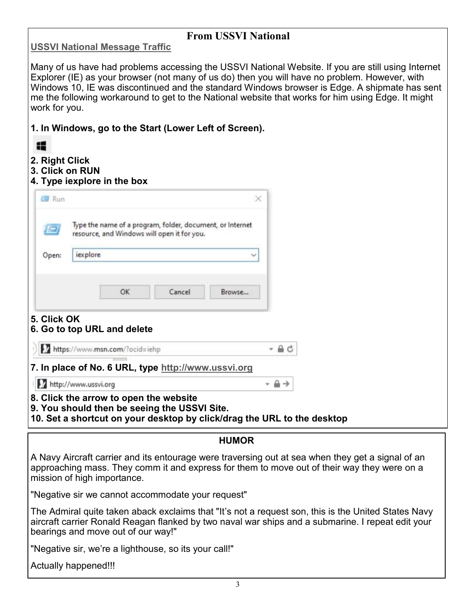#### **From USSVI National**

#### **[USSVI National Message Traffic](http://ussvicb.org/national%20info/index.html)**

Many of us have had problems accessing the USSVI National Website. If you are still using Internet Explorer (IE) as your browser (not many of us do) then you will have no problem. However, with Windows 10, IE was discontinued and the standard Windows browser is Edge. A shipmate has sent me the following workaround to get to the National website that works for him using Edge. It might work for you.

|  |  | 1. In Windows, go to the Start (Lower Left of Screen). |  |  |  |  |  |  |
|--|--|--------------------------------------------------------|--|--|--|--|--|--|
|--|--|--------------------------------------------------------|--|--|--|--|--|--|

|             |                                                                                                          | $\times$ |
|-------------|----------------------------------------------------------------------------------------------------------|----------|
|             | Type the name of a program, folder, document, or internet<br>resource, and Windows will open it for you. |          |
| Open:       | iexplore                                                                                                 |          |
|             |                                                                                                          |          |
|             | OK<br>Cancel                                                                                             | Browse   |
| 5. Click OK | 6. Go to top URL and delete                                                                              |          |
|             | https://www.msn.com/?ocid=iehp                                                                           |          |
|             |                                                                                                          |          |
|             | 7. In place of No. 6 URL, type http://www.ussvi.org                                                      |          |

**10. Set a shortcut on your desktop by click/drag the URL to the desktop**

#### **HUMOR**

A Navy Aircraft carrier and its entourage were traversing out at sea when they get a signal of an approaching mass. They comm it and express for them to move out of their way they were on a mission of high importance.

"Negative sir we cannot accommodate your request"

The Admiral quite taken aback exclaims that "It's not a request son, this is the United States Navy aircraft carrier Ronald Reagan flanked by two naval war ships and a submarine. I repeat edit your bearings and move out of our way!"

"Negative sir, we're a lighthouse, so its your call!"

Actually happened!!!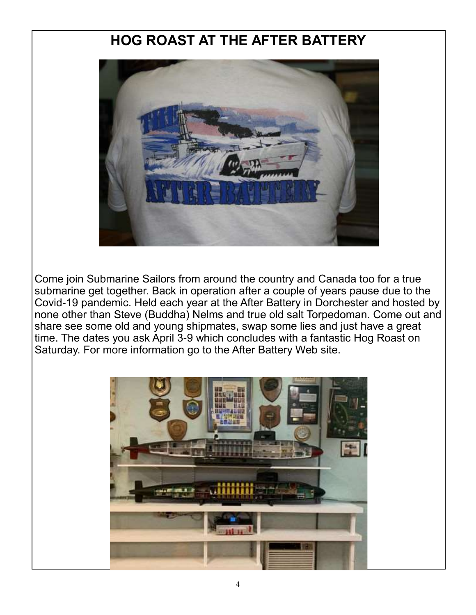# **HOG ROAST AT THE AFTER BATTERY**



Come join Submarine Sailors from around the country and Canada too for a true submarine get together. Back in operation after a couple of years pause due to the Covid-19 pandemic. Held each year at the After Battery in Dorchester and hosted by none other than Steve (Buddha) Nelms and true old salt Torpedoman. Come out and share see some old and young shipmates, swap some lies and just have a great time. The dates you ask April 3-9 which concludes with a fantastic Hog Roast on Saturday. For more information go to the After Battery Web site.

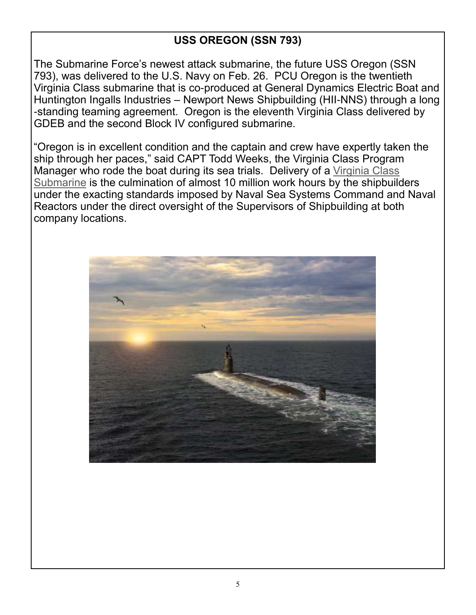# **USS OREGON (SSN 793)**

The Submarine Force's newest attack submarine, the future USS Oregon (SSN 793), was delivered to the U.S. Navy on Feb. 26. PCU Oregon is the twentieth Virginia Class submarine that is co-produced at General Dynamics Electric Boat and Huntington Ingalls Industries – Newport News Shipbuilding (HII-NNS) through a long -standing teaming agreement. Oregon is the eleventh Virginia Class delivered by GDEB and the second Block IV configured submarine.

"Oregon is in excellent condition and the captain and crew have expertly taken the ship through her paces," said CAPT Todd Weeks, the Virginia Class Program Manager who rode the boat during its sea trials. Delivery of a [Virginia Class](https://www.navalnews.com/naval-news/2021/07/us-navys-virginia-class-submarines-get-more-tomahawk-missiles/)  [Submarine](https://www.navalnews.com/naval-news/2021/07/us-navys-virginia-class-submarines-get-more-tomahawk-missiles/) is the culmination of almost 10 million work hours by the shipbuilders under the exacting standards imposed by Naval Sea Systems Command and Naval Reactors under the direct oversight of the Supervisors of Shipbuilding at both company locations.

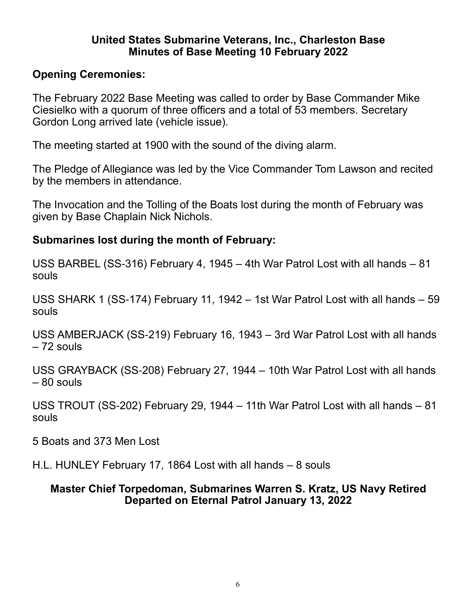#### **United States Submarine Veterans, Inc., Charleston Base Minutes of Base Meeting 10 February 2022**

# **Opening Ceremonies:**

The February 2022 Base Meeting was called to order by Base Commander Mike Ciesielko with a quorum of three officers and a total of 53 members. Secretary Gordon Long arrived late (vehicle issue).

The meeting started at 1900 with the sound of the diving alarm.

The Pledge of Allegiance was led by the Vice Commander Tom Lawson and recited by the members in attendance.

The Invocation and the Tolling of the Boats lost during the month of February was given by Base Chaplain Nick Nichols.

# **Submarines lost during the month of February:**

USS BARBEL (SS-316) February 4, 1945 – 4th War Patrol Lost with all hands – 81 souls

USS SHARK 1 (SS-174) February 11, 1942 – 1st War Patrol Lost with all hands – 59 souls

USS AMBERJACK (SS-219) February 16, 1943 – 3rd War Patrol Lost with all hands – 72 souls

USS GRAYBACK (SS-208) February 27, 1944 – 10th War Patrol Lost with all hands – 80 souls

USS TROUT (SS-202) February 29, 1944 – 11th War Patrol Lost with all hands – 81 souls

5 Boats and 373 Men Lost

H.L. HUNLEY February 17, 1864 Lost with all hands – 8 souls

## **Master Chief Torpedoman, Submarines Warren S. Kratz, US Navy Retired Departed on Eternal Patrol January 13, 2022**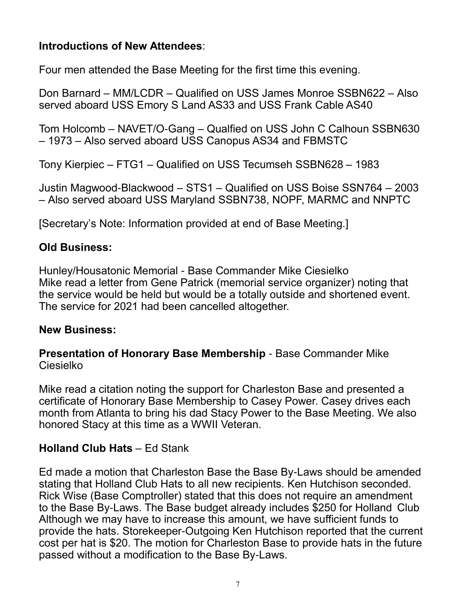# **Introductions of New Attendees**:

Four men attended the Base Meeting for the first time this evening.

Don Barnard – MM/LCDR – Qualified on USS James Monroe SSBN622 – Also served aboard USS Emory S Land AS33 and USS Frank Cable AS40

Tom Holcomb – NAVET/O-Gang – Qualfied on USS John C Calhoun SSBN630 – 1973 – Also served aboard USS Canopus AS34 and FBMSTC

Tony Kierpiec – FTG1 – Qualified on USS Tecumseh SSBN628 – 1983

Justin Magwood-Blackwood – STS1 – Qualified on USS Boise SSN764 – 2003 – Also served aboard USS Maryland SSBN738, NOPF, MARMC and NNPTC

[Secretary's Note: Information provided at end of Base Meeting.]

# **Old Business:**

Hunley/Housatonic Memorial - Base Commander Mike Ciesielko Mike read a letter from Gene Patrick (memorial service organizer) noting that the service would be held but would be a totally outside and shortened event. The service for 2021 had been cancelled altogether.

# **New Business:**

**Presentation of Honorary Base Membership** - Base Commander Mike Ciesielko

Mike read a citation noting the support for Charleston Base and presented a certificate of Honorary Base Membership to Casey Power. Casey drives each month from Atlanta to bring his dad Stacy Power to the Base Meeting. We also honored Stacy at this time as a WWII Veteran.

# **Holland Club Hats** – Ed Stank

Ed made a motion that Charleston Base the Base By-Laws should be amended stating that Holland Club Hats to all new recipients. Ken Hutchison seconded. Rick Wise (Base Comptroller) stated that this does not require an amendment to the Base By-Laws. The Base budget already includes \$250 for Holland Club Although we may have to increase this amount, we have sufficient funds to provide the hats. Storekeeper-Outgoing Ken Hutchison reported that the current cost per hat is \$20. The motion for Charleston Base to provide hats in the future passed without a modification to the Base By-Laws.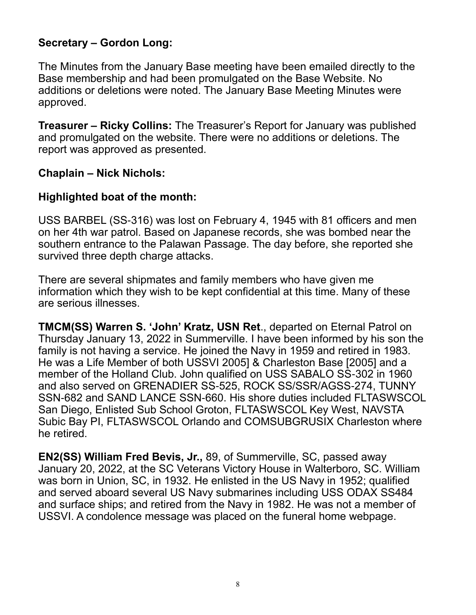# **Secretary – Gordon Long:**

The Minutes from the January Base meeting have been emailed directly to the Base membership and had been promulgated on the Base Website. No additions or deletions were noted. The January Base Meeting Minutes were approved.

**Treasurer – Ricky Collins:** The Treasurer's Report for January was published and promulgated on the website. There were no additions or deletions. The report was approved as presented.

#### **Chaplain – Nick Nichols:**

#### **Highlighted boat of the month:**

USS BARBEL (SS-316) was lost on February 4, 1945 with 81 officers and men on her 4th war patrol. Based on Japanese records, she was bombed near the southern entrance to the Palawan Passage. The day before, she reported she survived three depth charge attacks.

There are several shipmates and family members who have given me information which they wish to be kept confidential at this time. Many of these are serious illnesses.

**TMCM(SS) Warren S. 'John' Kratz, USN Ret**., departed on Eternal Patrol on Thursday January 13, 2022 in Summerville. I have been informed by his son the family is not having a service. He joined the Navy in 1959 and retired in 1983. He was a Life Member of both USSVI 2005] & Charleston Base [2005] and a member of the Holland Club. John qualified on USS SABALO SS-302 in 1960 and also served on GRENADIER SS-525, ROCK SS/SSR/AGSS-274, TUNNY SSN-682 and SAND LANCE SSN-660. His shore duties included FLTASWSCOL San Diego, Enlisted Sub School Groton, FLTASWSCOL Key West, NAVSTA Subic Bay PI, FLTASWSCOL Orlando and COMSUBGRUSIX Charleston where he retired.

**EN2(SS) William Fred Bevis, Jr.,** 89, of Summerville, SC, passed away January 20, 2022, at the SC Veterans Victory House in Walterboro, SC. William was born in Union, SC, in 1932. He enlisted in the US Navy in 1952; qualified and served aboard several US Navy submarines including USS ODAX SS484 and surface ships; and retired from the Navy in 1982. He was not a member of USSVI. A condolence message was placed on the funeral home webpage.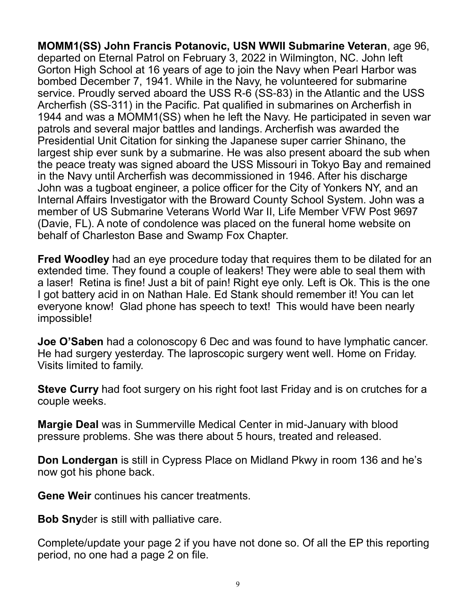**MOMM1(SS) John Francis Potanovic, USN WWII Submarine Veteran**, age 96, departed on Eternal Patrol on February 3, 2022 in Wilmington, NC. John left Gorton High School at 16 years of age to join the Navy when Pearl Harbor was bombed December 7, 1941. While in the Navy, he volunteered for submarine service. Proudly served aboard the USS R-6 (SS-83) in the Atlantic and the USS Archerfish (SS-311) in the Pacific. Pat qualified in submarines on Archerfish in 1944 and was a MOMM1(SS) when he left the Navy. He participated in seven war patrols and several major battles and landings. Archerfish was awarded the Presidential Unit Citation for sinking the Japanese super carrier Shinano, the largest ship ever sunk by a submarine. He was also present aboard the sub when the peace treaty was signed aboard the USS Missouri in Tokyo Bay and remained in the Navy until Archerfish was decommissioned in 1946. After his discharge John was a tugboat engineer, a police officer for the City of Yonkers NY, and an Internal Affairs Investigator with the Broward County School System. John was a member of US Submarine Veterans World War II, Life Member VFW Post 9697 (Davie, FL). A note of condolence was placed on the funeral home website on behalf of Charleston Base and Swamp Fox Chapter.

**Fred Woodley** had an eye procedure today that requires them to be dilated for an extended time. They found a couple of leakers! They were able to seal them with a laser! Retina is fine! Just a bit of pain! Right eye only. Left is Ok. This is the one I got battery acid in on Nathan Hale. Ed Stank should remember it! You can let everyone know! Glad phone has speech to text! This would have been nearly impossible!

**Joe O'Saben** had a colonoscopy 6 Dec and was found to have lymphatic cancer. He had surgery yesterday. The laproscopic surgery went well. Home on Friday. Visits limited to family.

**Steve Curry** had foot surgery on his right foot last Friday and is on crutches for a couple weeks.

**Margie Deal** was in Summerville Medical Center in mid-January with blood pressure problems. She was there about 5 hours, treated and released.

**Don Londergan** is still in Cypress Place on Midland Pkwy in room 136 and he's now got his phone back.

**Gene Weir** continues his cancer treatments.

**Bob Sny**der is still with palliative care.

Complete/update your page 2 if you have not done so. Of all the EP this reporting period, no one had a page 2 on file.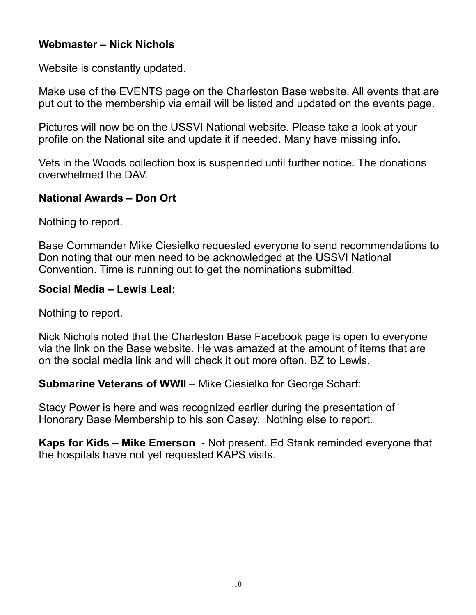# **Webmaster – Nick Nichols**

Website is constantly updated.

Make use of the EVENTS page on the Charleston Base website. All events that are put out to the membership via email will be listed and updated on the events page.

Pictures will now be on the USSVI National website. Please take a look at your profile on the National site and update it if needed. Many have missing info.

Vets in the Woods collection box is suspended until further notice. The donations overwhelmed the DAV.

# **National Awards – Don Ort**

Nothing to report.

Base Commander Mike Ciesielko requested everyone to send recommendations to Don noting that our men need to be acknowledged at the USSVI National Convention. Time is running out to get the nominations submitted.

#### **Social Media – Lewis Leal:**

Nothing to report.

Nick Nichols noted that the Charleston Base Facebook page is open to everyone via the link on the Base website. He was amazed at the amount of items that are on the social media link and will check it out more often. BZ to Lewis.

**Submarine Veterans of WWII** – Mike Ciesielko for George Scharf:

Stacy Power is here and was recognized earlier during the presentation of Honorary Base Membership to his son Casey. Nothing else to report.

**Kaps for Kids – Mike Emerson** - Not present. Ed Stank reminded everyone that the hospitals have not yet requested KAPS visits.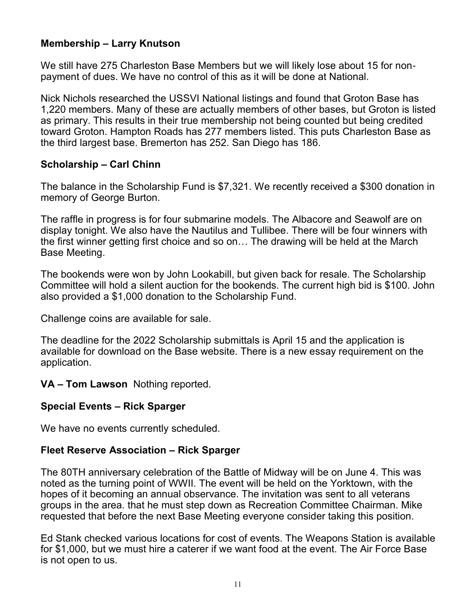#### **Membership – Larry Knutson**

We still have 275 Charleston Base Members but we will likely lose about 15 for nonpayment of dues. We have no control of this as it will be done at National.

Nick Nichols researched the USSVI National listings and found that Groton Base has 1,220 members. Many of these are actually members of other bases, but Groton is listed as primary. This results in their true membership not being counted but being credited toward Groton. Hampton Roads has 277 members listed. This puts Charleston Base as the third largest base. Bremerton has 252. San Diego has 186.

#### **Scholarship – Carl Chinn**

The balance in the Scholarship Fund is \$7,321. We recently received a \$300 donation in memory of George Burton.

The raffle in progress is for four submarine models. The Albacore and Seawolf are on display tonight. We also have the Nautilus and Tullibee. There will be four winners with the first winner getting first choice and so on… The drawing will be held at the March Base Meeting.

The bookends were won by John Lookabill, but given back for resale. The Scholarship Committee will hold a silent auction for the bookends. The current high bid is \$100. John also provided a \$1,000 donation to the Scholarship Fund.

Challenge coins are available for sale.

The deadline for the 2022 Scholarship submittals is April 15 and the application is available for download on the Base website. There is a new essay requirement on the application.

**VA – Tom Lawson** Nothing reported.

#### **Special Events – Rick Sparger**

We have no events currently scheduled.

#### **Fleet Reserve Association – Rick Sparger**

The 80TH anniversary celebration of the Battle of Midway will be on June 4. This was noted as the turning point of WWII. The event will be held on the Yorktown, with the hopes of it becoming an annual observance. The invitation was sent to all veterans groups in the area. that he must step down as Recreation Committee Chairman. Mike requested that before the next Base Meeting everyone consider taking this position.

Ed Stank checked various locations for cost of events. The Weapons Station is available for \$1,000, but we must hire a caterer if we want food at the event. The Air Force Base is not open to us.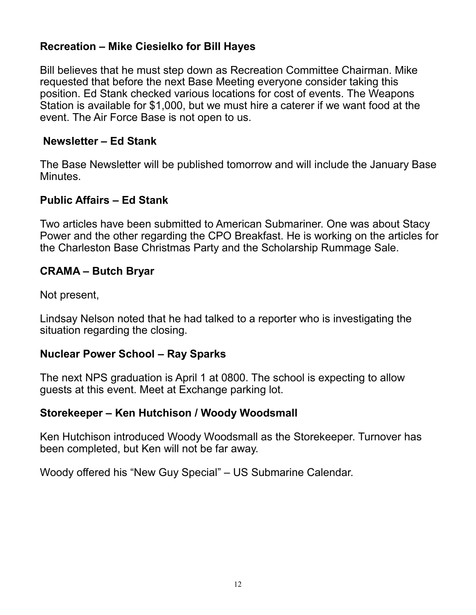# **Recreation – Mike Ciesielko for Bill Hayes**

Bill believes that he must step down as Recreation Committee Chairman. Mike requested that before the next Base Meeting everyone consider taking this position. Ed Stank checked various locations for cost of events. The Weapons Station is available for \$1,000, but we must hire a caterer if we want food at the event. The Air Force Base is not open to us.

#### **Newsletter – Ed Stank**

The Base Newsletter will be published tomorrow and will include the January Base Minutes.

## **Public Affairs – Ed Stank**

Two articles have been submitted to American Submariner. One was about Stacy Power and the other regarding the CPO Breakfast. He is working on the articles for the Charleston Base Christmas Party and the Scholarship Rummage Sale.

#### **CRAMA – Butch Bryar**

Not present,

Lindsay Nelson noted that he had talked to a reporter who is investigating the situation regarding the closing.

## **Nuclear Power School – Ray Sparks**

The next NPS graduation is April 1 at 0800. The school is expecting to allow guests at this event. Meet at Exchange parking lot.

#### **Storekeeper – Ken Hutchison / Woody Woodsmall**

Ken Hutchison introduced Woody Woodsmall as the Storekeeper. Turnover has been completed, but Ken will not be far away.

Woody offered his "New Guy Special" – US Submarine Calendar.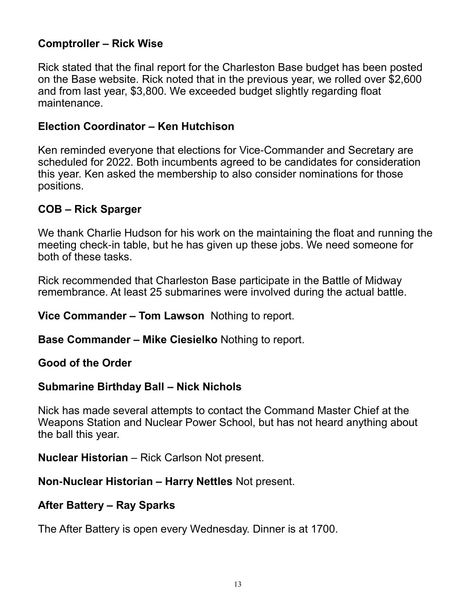# **Comptroller – Rick Wise**

Rick stated that the final report for the Charleston Base budget has been posted on the Base website. Rick noted that in the previous year, we rolled over \$2,600 and from last year, \$3,800. We exceeded budget slightly regarding float maintenance.

#### **Election Coordinator – Ken Hutchison**

Ken reminded everyone that elections for Vice-Commander and Secretary are scheduled for 2022. Both incumbents agreed to be candidates for consideration this year. Ken asked the membership to also consider nominations for those positions.

## **COB – Rick Sparger**

We thank Charlie Hudson for his work on the maintaining the float and running the meeting check-in table, but he has given up these jobs. We need someone for both of these tasks.

Rick recommended that Charleston Base participate in the Battle of Midway remembrance. At least 25 submarines were involved during the actual battle.

**Vice Commander – Tom Lawson** Nothing to report.

**Base Commander – Mike Ciesielko** Nothing to report.

**Good of the Order** 

#### **Submarine Birthday Ball – Nick Nichols**

Nick has made several attempts to contact the Command Master Chief at the Weapons Station and Nuclear Power School, but has not heard anything about the ball this year.

**Nuclear Historian** – Rick Carlson Not present.

#### **Non-Nuclear Historian – Harry Nettles** Not present.

#### **After Battery – Ray Sparks**

The After Battery is open every Wednesday. Dinner is at 1700.